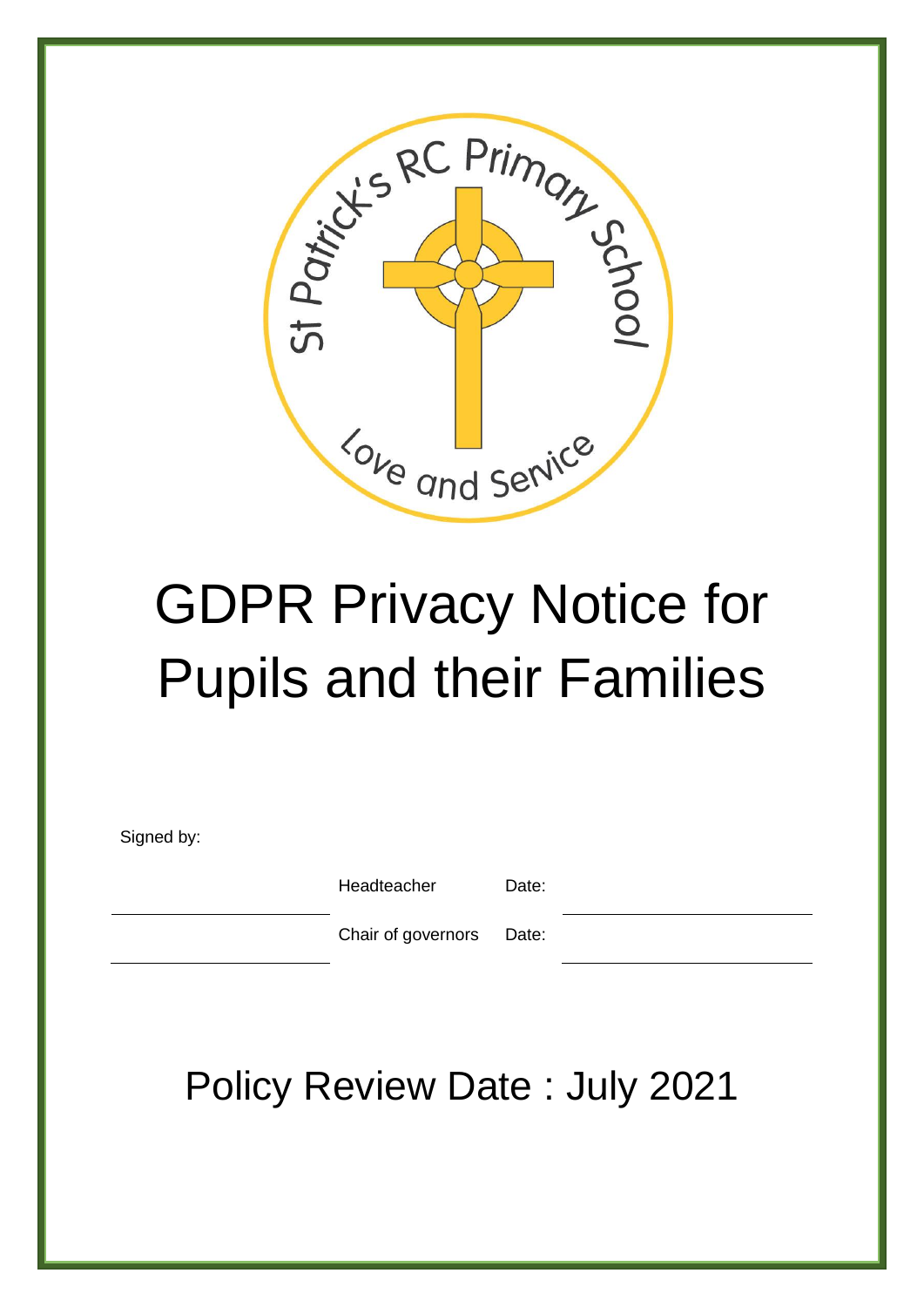

# GDPR Privacy Notice for Pupils and their Families

Signed by:

Headteacher Date:

Chair of governors Date:

Policy Review Date : July 2021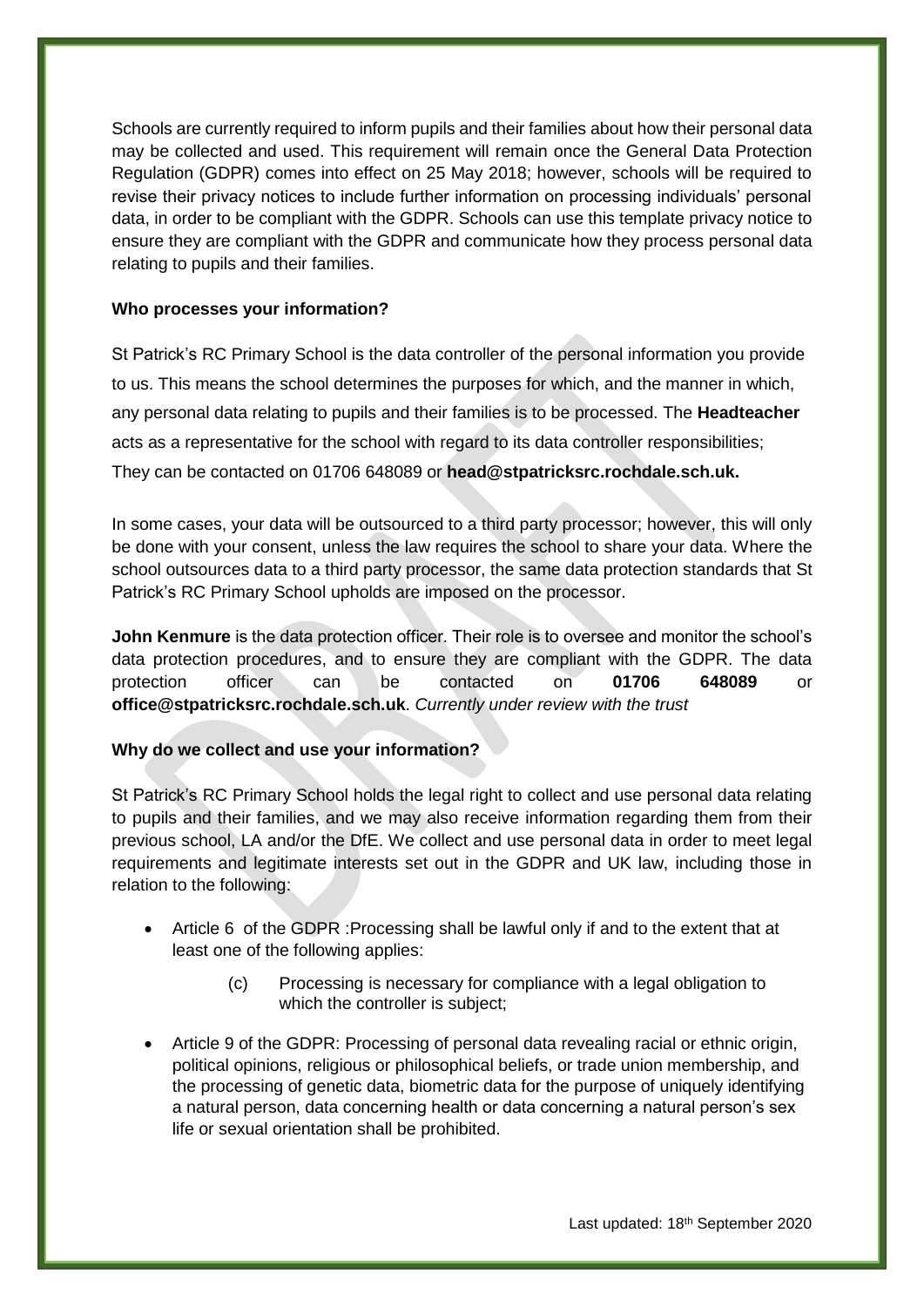Schools are currently required to inform pupils and their families about how their personal data may be collected and used. This requirement will remain once the General Data Protection Regulation (GDPR) comes into effect on 25 May 2018; however, schools will be required to revise their privacy notices to include further information on processing individuals' personal data, in order to be compliant with the GDPR. Schools can use this template privacy notice to ensure they are compliant with the GDPR and communicate how they process personal data relating to pupils and their families.

#### **Who processes your information?**

St Patrick's RC Primary School is the data controller of the personal information you provide to us. This means the school determines the purposes for which, and the manner in which, any personal data relating to pupils and their families is to be processed. The **Headteacher** acts as a representative for the school with regard to its data controller responsibilities; They can be contacted on 01706 648089 or **head@stpatricksrc.rochdale.sch.uk.** 

In some cases, your data will be outsourced to a third party processor; however, this will only be done with your consent, unless the law requires the school to share your data. Where the school outsources data to a third party processor, the same data protection standards that St Patrick's RC Primary School upholds are imposed on the processor.

**John Kenmure** is the data protection officer. Their role is to oversee and monitor the school's data protection procedures, and to ensure they are compliant with the GDPR. The data protection officer can be contacted on **01706 648089** or **office@stpatricksrc.rochdale.sch.uk**. *Currently under review with the trust*

### **Why do we collect and use your information?**

St Patrick's RC Primary School holds the legal right to collect and use personal data relating to pupils and their families, and we may also receive information regarding them from their previous school, LA and/or the DfE. We collect and use personal data in order to meet legal requirements and legitimate interests set out in the GDPR and UK law, including those in relation to the following:

- Article 6 of the GDPR :Processing shall be lawful only if and to the extent that at least one of the following applies:
	- (c) Processing is necessary for compliance with a legal obligation to which the controller is subject;
- Article 9 of the GDPR: Processing of personal data revealing racial or ethnic origin, political opinions, religious or philosophical beliefs, or trade union membership, and the processing of genetic data, biometric data for the purpose of uniquely identifying a natural person, data concerning health or data concerning a natural person's sex life or sexual orientation shall be prohibited.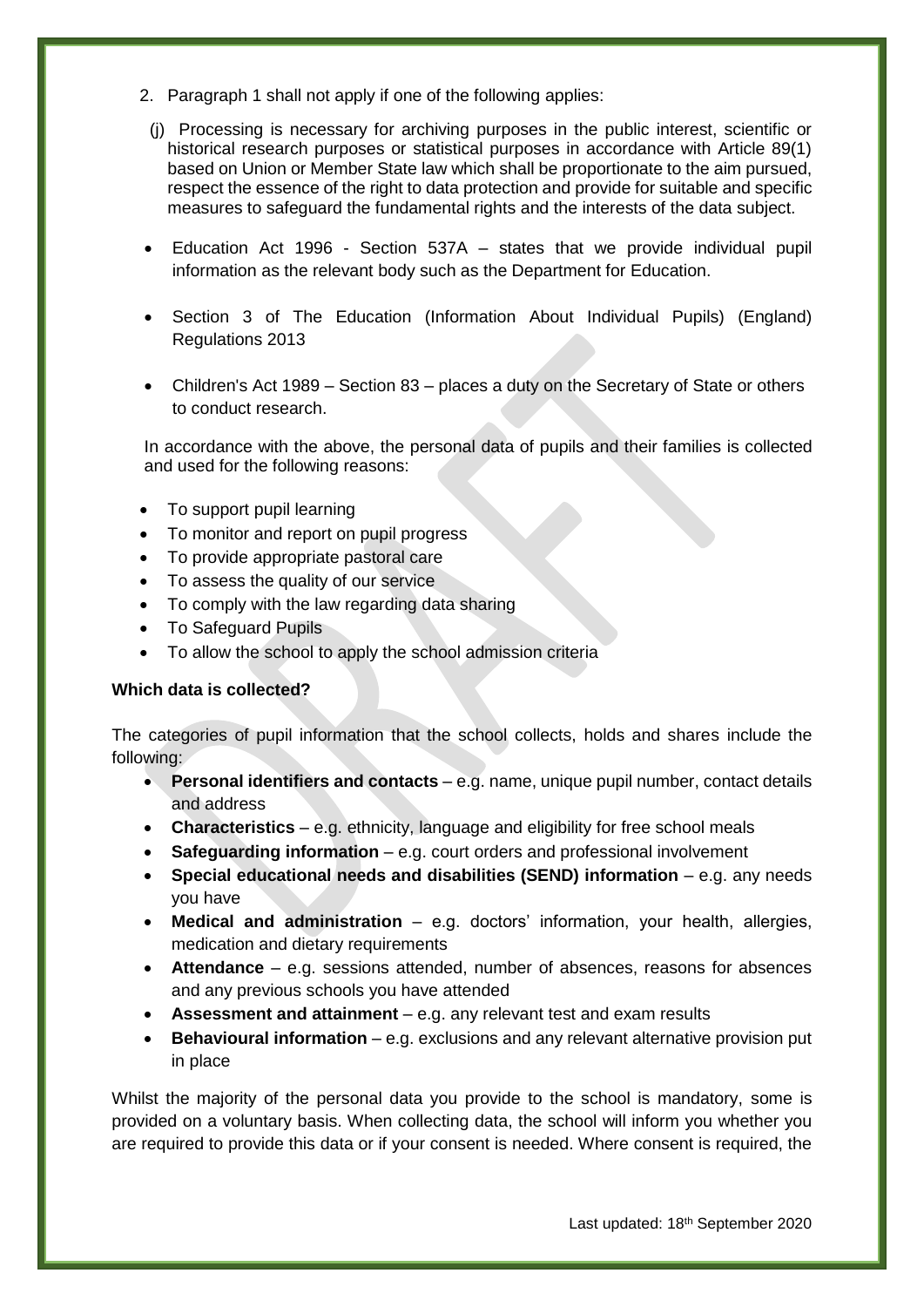- 2. Paragraph 1 shall not apply if one of the following applies:
- (j) Processing is necessary for archiving purposes in the public interest, scientific or historical research purposes or statistical purposes in accordance with Article 89(1) based on Union or Member State law which shall be proportionate to the aim pursued, respect the essence of the right to data protection and provide for suitable and specific measures to safeguard the fundamental rights and the interests of the data subject.
- Education Act 1996 Section 537A states that we provide individual pupil information as the relevant body such as the Department for Education.
- Section 3 of The Education (Information About Individual Pupils) (England) Regulations 2013
- Children's Act 1989 Section 83 places a duty on the Secretary of State or others to conduct research.

In accordance with the above, the personal data of pupils and their families is collected and used for the following reasons:

- To support pupil learning
- To monitor and report on pupil progress
- To provide appropriate pastoral care
- To assess the quality of our service
- To comply with the law regarding data sharing
- To Safeguard Pupils
- To allow the school to apply the school admission criteria

#### **Which data is collected?**

The categories of pupil information that the school collects, holds and shares include the following:

- **Personal identifiers and contacts** e.g. name, unique pupil number, contact details and address
- **Characteristics**  e.g. ethnicity, language and eligibility for free school meals
- **Safeguarding information** e.g. court orders and professional involvement
- **Special educational needs and disabilities (SEND) information** e.g. any needs you have
- **Medical and administration** e.g. doctors' information, your health, allergies, medication and dietary requirements
- **Attendance** e.g. sessions attended, number of absences, reasons for absences and any previous schools you have attended
- **Assessment and attainment** e.g. any relevant test and exam results
- **Behavioural information** e.g. exclusions and any relevant alternative provision put in place

Whilst the majority of the personal data you provide to the school is mandatory, some is provided on a voluntary basis. When collecting data, the school will inform you whether you are required to provide this data or if your consent is needed. Where consent is required, the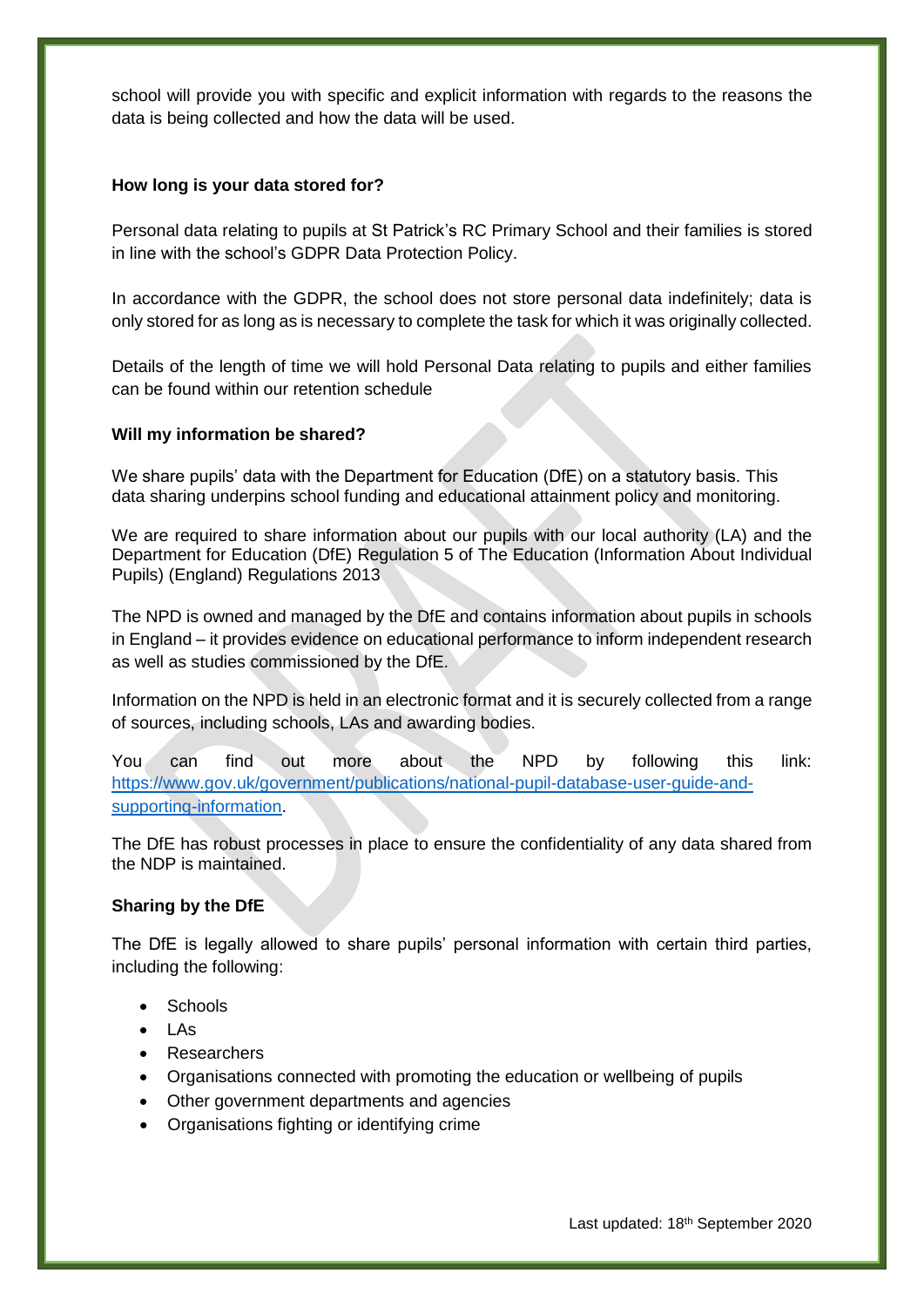school will provide you with specific and explicit information with regards to the reasons the data is being collected and how the data will be used.

#### **How long is your data stored for?**

Personal data relating to pupils at St Patrick's RC Primary School and their families is stored in line with the school's GDPR Data Protection Policy.

In accordance with the GDPR, the school does not store personal data indefinitely; data is only stored for as long as is necessary to complete the task for which it was originally collected.

Details of the length of time we will hold Personal Data relating to pupils and either families can be found within our retention schedule

#### **Will my information be shared?**

We share pupils' data with the Department for Education (DfE) on a statutory basis. This data sharing underpins school funding and educational attainment policy and monitoring.

We are required to share information about our pupils with our local authority (LA) and the Department for Education (DfE) Regulation 5 of The Education (Information About Individual Pupils) (England) Regulations 2013

The NPD is owned and managed by the DfE and contains information about pupils in schools in England – it provides evidence on educational performance to inform independent research as well as studies commissioned by the DfE.

Information on the NPD is held in an electronic format and it is securely collected from a range of sources, including schools, LAs and awarding bodies.

You can find out more about the NPD by following this link: [https://www.gov.uk/government/publications/national-pupil-database-user-guide-and](https://www.gov.uk/government/publications/national-pupil-database-user-guide-and-supporting-information)[supporting-information.](https://www.gov.uk/government/publications/national-pupil-database-user-guide-and-supporting-information)

The DfE has robust processes in place to ensure the confidentiality of any data shared from the NDP is maintained.

#### **Sharing by the DfE**

The DfE is legally allowed to share pupils' personal information with certain third parties, including the following:

- Schools
- LAs
- Researchers
- Organisations connected with promoting the education or wellbeing of pupils
- Other government departments and agencies
- Organisations fighting or identifying crime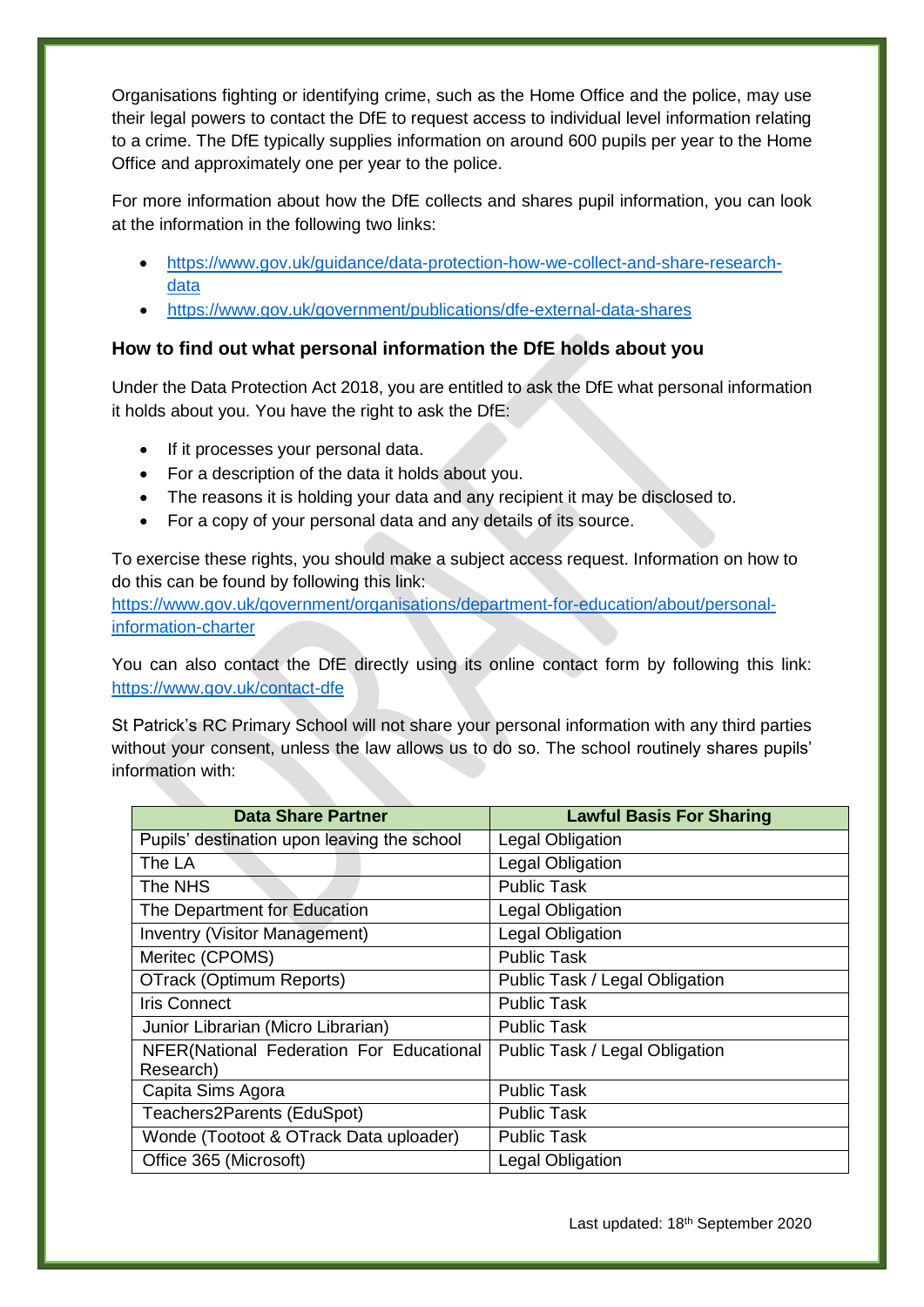Organisations fighting or identifying crime, such as the Home Office and the police, may use their legal powers to contact the DfE to request access to individual level information relating to a crime. The DfE typically supplies information on around 600 pupils per year to the Home Office and approximately one per year to the police.

For more information about how the DfE collects and shares pupil information, you can look at the information in the following two links:

- [https://www.gov.uk/guidance/data-protection-how-we-collect-and-share-research](https://www.gov.uk/guidance/data-protection-how-we-collect-and-share-research-data)[data](https://www.gov.uk/guidance/data-protection-how-we-collect-and-share-research-data)
- <https://www.gov.uk/government/publications/dfe-external-data-shares>

## **How to find out what personal information the DfE holds about you**

Under the Data Protection Act 2018, you are entitled to ask the DfE what personal information it holds about you. You have the right to ask the DfE:

- If it processes your personal data.
- For a description of the data it holds about you.
- The reasons it is holding your data and any recipient it may be disclosed to.
- For a copy of your personal data and any details of its source.

To exercise these rights, you should make a subject access request. Information on how to do this can be found by following this link:

[https://www.gov.uk/government/organisations/department-for-education/about/personal](https://www.gov.uk/government/organisations/department-for-education/about/personal-information-charter)[information-charter](https://www.gov.uk/government/organisations/department-for-education/about/personal-information-charter)

You can also contact the DfE directly using its online contact form by following this link: <https://www.gov.uk/contact-dfe>

St Patrick's RC Primary School will not share your personal information with any third parties without your consent, unless the law allows us to do so. The school routinely shares pupils' information with:

| <b>Data Share Partner</b>                             | <b>Lawful Basis For Sharing</b> |
|-------------------------------------------------------|---------------------------------|
| Pupils' destination upon leaving the school           | <b>Legal Obligation</b>         |
| The LA                                                | <b>Legal Obligation</b>         |
| The NHS                                               | <b>Public Task</b>              |
| The Department for Education                          | <b>Legal Obligation</b>         |
| <b>Inventry (Visitor Management)</b>                  | Legal Obligation                |
| Meritec (CPOMS)                                       | <b>Public Task</b>              |
| <b>OTrack (Optimum Reports)</b>                       | Public Task / Legal Obligation  |
| <b>Iris Connect</b>                                   | <b>Public Task</b>              |
| Junior Librarian (Micro Librarian)                    | <b>Public Task</b>              |
| NFER(National Federation For Educational<br>Research) | Public Task / Legal Obligation  |
| Capita Sims Agora                                     | <b>Public Task</b>              |
| Teachers2Parents (EduSpot)                            | <b>Public Task</b>              |
| Wonde (Tootoot & OTrack Data uploader)                | <b>Public Task</b>              |
| Office 365 (Microsoft)                                | Legal Obligation                |

Last updated: 18<sup>th</sup> September 2020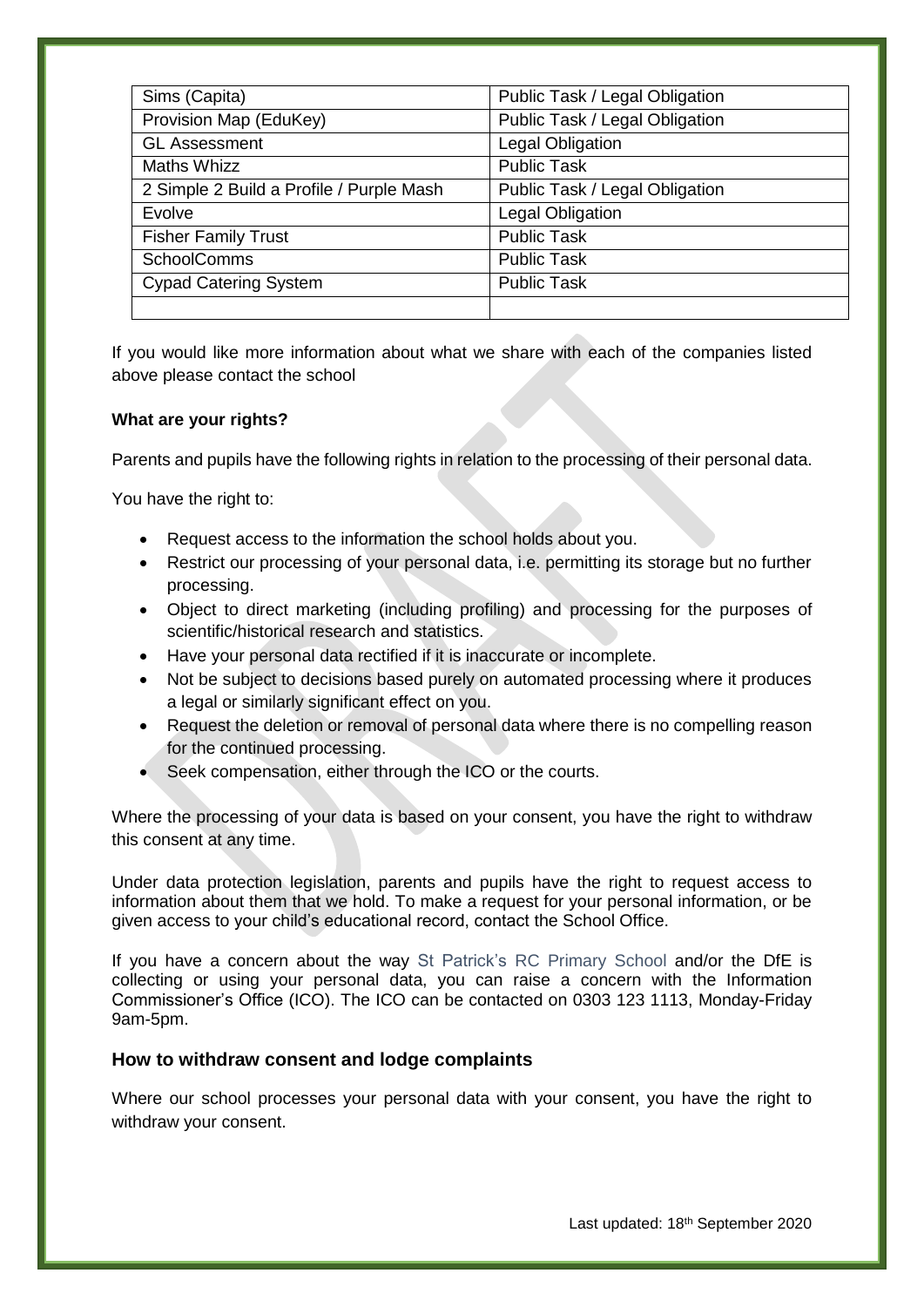| Sims (Capita)                            | Public Task / Legal Obligation |
|------------------------------------------|--------------------------------|
| Provision Map (EduKey)                   | Public Task / Legal Obligation |
| <b>GL Assessment</b>                     | <b>Legal Obligation</b>        |
| <b>Maths Whizz</b>                       | <b>Public Task</b>             |
| 2 Simple 2 Build a Profile / Purple Mash | Public Task / Legal Obligation |
| Evolve                                   | Legal Obligation               |
| <b>Fisher Family Trust</b>               | <b>Public Task</b>             |
| <b>SchoolComms</b>                       | <b>Public Task</b>             |
| <b>Cypad Catering System</b>             | <b>Public Task</b>             |
|                                          |                                |

If you would like more information about what we share with each of the companies listed above please contact the school

#### **What are your rights?**

Parents and pupils have the following rights in relation to the processing of their personal data.

You have the right to:

- Request access to the information the school holds about you.
- Restrict our processing of your personal data, i.e. permitting its storage but no further processing.
- Object to direct marketing (including profiling) and processing for the purposes of scientific/historical research and statistics.
- Have your personal data rectified if it is inaccurate or incomplete.
- Not be subject to decisions based purely on automated processing where it produces a legal or similarly significant effect on you.
- Request the deletion or removal of personal data where there is no compelling reason for the continued processing.
- Seek compensation, either through the ICO or the courts.

Where the processing of your data is based on your consent, you have the right to withdraw this consent at any time.

Under data protection legislation, parents and pupils have the right to request access to information about them that we hold. To make a request for your personal information, or be given access to your child's educational record, contact the School Office.

If you have a concern about the way St Patrick's RC Primary School and/or the DfE is collecting or using your personal data, you can raise a concern with the Information Commissioner's Office (ICO). The ICO can be contacted on 0303 123 1113, Monday-Friday 9am-5pm.

#### **How to withdraw consent and lodge complaints**

Where our school processes your personal data with your consent, you have the right to withdraw your consent.